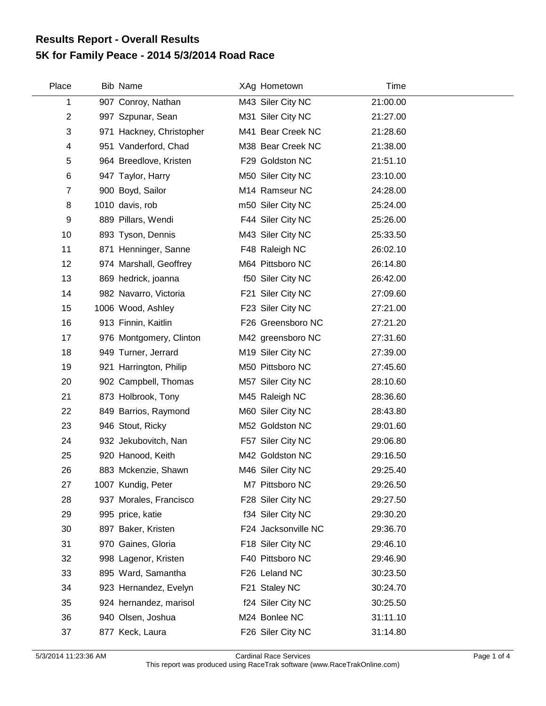## **5K for Family Peace - 2014 5/3/2014 Road Race Results Report - Overall Results**

| Place          | Bib Name                 | XAg Hometown        | Time     |  |
|----------------|--------------------------|---------------------|----------|--|
| 1              | 907 Conroy, Nathan       | M43 Siler City NC   | 21:00.00 |  |
| $\overline{2}$ | 997 Szpunar, Sean        | M31 Siler City NC   | 21:27.00 |  |
| 3              | 971 Hackney, Christopher | M41 Bear Creek NC   | 21:28.60 |  |
| 4              | 951 Vanderford, Chad     | M38 Bear Creek NC   | 21:38.00 |  |
| 5              | 964 Breedlove, Kristen   | F29 Goldston NC     | 21:51.10 |  |
| 6              | 947 Taylor, Harry        | M50 Siler City NC   | 23:10.00 |  |
| $\overline{7}$ | 900 Boyd, Sailor         | M14 Ramseur NC      | 24:28.00 |  |
| 8              | 1010 davis, rob          | m50 Siler City NC   | 25:24.00 |  |
| 9              | 889 Pillars, Wendi       | F44 Siler City NC   | 25:26.00 |  |
| 10             | 893 Tyson, Dennis        | M43 Siler City NC   | 25:33.50 |  |
| 11             | 871 Henninger, Sanne     | F48 Raleigh NC      | 26:02.10 |  |
| 12             | 974 Marshall, Geoffrey   | M64 Pittsboro NC    | 26:14.80 |  |
| 13             | 869 hedrick, joanna      | f50 Siler City NC   | 26:42.00 |  |
| 14             | 982 Navarro, Victoria    | F21 Siler City NC   | 27:09.60 |  |
| 15             | 1006 Wood, Ashley        | F23 Siler City NC   | 27:21.00 |  |
| 16             | 913 Finnin, Kaitlin      | F26 Greensboro NC   | 27:21.20 |  |
| 17             | 976 Montgomery, Clinton  | M42 greensboro NC   | 27:31.60 |  |
| 18             | 949 Turner, Jerrard      | M19 Siler City NC   | 27:39.00 |  |
| 19             | 921 Harrington, Philip   | M50 Pittsboro NC    | 27:45.60 |  |
| 20             | 902 Campbell, Thomas     | M57 Siler City NC   | 28:10.60 |  |
| 21             | 873 Holbrook, Tony       | M45 Raleigh NC      | 28:36.60 |  |
| 22             | 849 Barrios, Raymond     | M60 Siler City NC   | 28:43.80 |  |
| 23             | 946 Stout, Ricky         | M52 Goldston NC     | 29:01.60 |  |
| 24             | 932 Jekubovitch, Nan     | F57 Siler City NC   | 29:06.80 |  |
| 25             | 920 Hanood, Keith        | M42 Goldston NC     | 29:16.50 |  |
| 26             | 883 Mckenzie, Shawn      | M46 Siler City NC   | 29:25.40 |  |
| 27             | 1007 Kundig, Peter       | M7 Pittsboro NC     | 29:26.50 |  |
| 28             | 937 Morales, Francisco   | F28 Siler City NC   | 29:27.50 |  |
| 29             | 995 price, katie         | f34 Siler City NC   | 29:30.20 |  |
| 30             | 897 Baker, Kristen       | F24 Jacksonville NC | 29:36.70 |  |
| 31             | 970 Gaines, Gloria       | F18 Siler City NC   | 29:46.10 |  |
| 32             | 998 Lagenor, Kristen     | F40 Pittsboro NC    | 29:46.90 |  |
| 33             | 895 Ward, Samantha       | F26 Leland NC       | 30:23.50 |  |
| 34             | 923 Hernandez, Evelyn    | F21 Staley NC       | 30:24.70 |  |
| 35             | 924 hernandez, marisol   | f24 Siler City NC   | 30:25.50 |  |
| 36             | 940 Olsen, Joshua        | M24 Bonlee NC       | 31:11.10 |  |
| 37             | 877 Keck, Laura          | F26 Siler City NC   | 31:14.80 |  |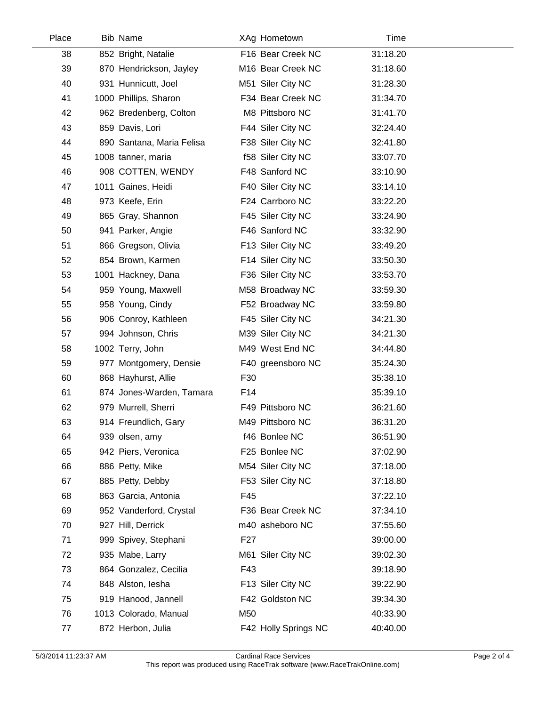| Place | <b>Bib Name</b>           |                 | XAg Hometown         | Time     |  |
|-------|---------------------------|-----------------|----------------------|----------|--|
| 38    | 852 Bright, Natalie       |                 | F16 Bear Creek NC    | 31:18.20 |  |
| 39    | 870 Hendrickson, Jayley   |                 | M16 Bear Creek NC    | 31:18.60 |  |
| 40    | 931 Hunnicutt, Joel       |                 | M51 Siler City NC    | 31:28.30 |  |
| 41    | 1000 Phillips, Sharon     |                 | F34 Bear Creek NC    | 31:34.70 |  |
| 42    | 962 Bredenberg, Colton    |                 | M8 Pittsboro NC      | 31:41.70 |  |
| 43    | 859 Davis, Lori           |                 | F44 Siler City NC    | 32:24.40 |  |
| 44    | 890 Santana, Maria Felisa |                 | F38 Siler City NC    | 32:41.80 |  |
| 45    | 1008 tanner, maria        |                 | f58 Siler City NC    | 33:07.70 |  |
| 46    | 908 COTTEN, WENDY         |                 | F48 Sanford NC       | 33:10.90 |  |
| 47    | 1011 Gaines, Heidi        |                 | F40 Siler City NC    | 33:14.10 |  |
| 48    | 973 Keefe, Erin           |                 | F24 Carrboro NC      | 33:22.20 |  |
| 49    | 865 Gray, Shannon         |                 | F45 Siler City NC    | 33:24.90 |  |
| 50    | 941 Parker, Angie         |                 | F46 Sanford NC       | 33:32.90 |  |
| 51    | 866 Gregson, Olivia       |                 | F13 Siler City NC    | 33:49.20 |  |
| 52    | 854 Brown, Karmen         |                 | F14 Siler City NC    | 33:50.30 |  |
| 53    | 1001 Hackney, Dana        |                 | F36 Siler City NC    | 33:53.70 |  |
| 54    | 959 Young, Maxwell        |                 | M58 Broadway NC      | 33:59.30 |  |
| 55    | 958 Young, Cindy          |                 | F52 Broadway NC      | 33:59.80 |  |
| 56    | 906 Conroy, Kathleen      |                 | F45 Siler City NC    | 34:21.30 |  |
| 57    | 994 Johnson, Chris        |                 | M39 Siler City NC    | 34:21.30 |  |
| 58    | 1002 Terry, John          |                 | M49 West End NC      | 34:44.80 |  |
| 59    | 977 Montgomery, Densie    |                 | F40 greensboro NC    | 35:24.30 |  |
| 60    | 868 Hayhurst, Allie       | F30             |                      | 35:38.10 |  |
| 61    | 874 Jones-Warden, Tamara  | F14             |                      | 35:39.10 |  |
| 62    | 979 Murrell, Sherri       |                 | F49 Pittsboro NC     | 36:21.60 |  |
| 63    | 914 Freundlich, Gary      |                 | M49 Pittsboro NC     | 36:31.20 |  |
| 64    | 939 olsen, amy            |                 | f46 Bonlee NC        | 36:51.90 |  |
| 65    | 942 Piers, Veronica       |                 | F25 Bonlee NC        | 37:02.90 |  |
| 66    | 886 Petty, Mike           |                 | M54 Siler City NC    | 37:18.00 |  |
| 67    | 885 Petty, Debby          |                 | F53 Siler City NC    | 37:18.80 |  |
| 68    | 863 Garcia, Antonia       | F45             |                      | 37:22.10 |  |
| 69    | 952 Vanderford, Crystal   |                 | F36 Bear Creek NC    | 37:34.10 |  |
| 70    | 927 Hill, Derrick         |                 | m40 asheboro NC      | 37:55.60 |  |
| 71    | 999 Spivey, Stephani      | F <sub>27</sub> |                      | 39:00.00 |  |
| 72    | 935 Mabe, Larry           |                 | M61 Siler City NC    | 39:02.30 |  |
| 73    | 864 Gonzalez, Cecilia     | F43             |                      | 39:18.90 |  |
| 74    | 848 Alston, lesha         |                 | F13 Siler City NC    | 39:22.90 |  |
| 75    | 919 Hanood, Jannell       |                 | F42 Goldston NC      | 39:34.30 |  |
| 76    | 1013 Colorado, Manual     | M50             |                      | 40:33.90 |  |
| 77    | 872 Herbon, Julia         |                 | F42 Holly Springs NC | 40:40.00 |  |

 $\overline{a}$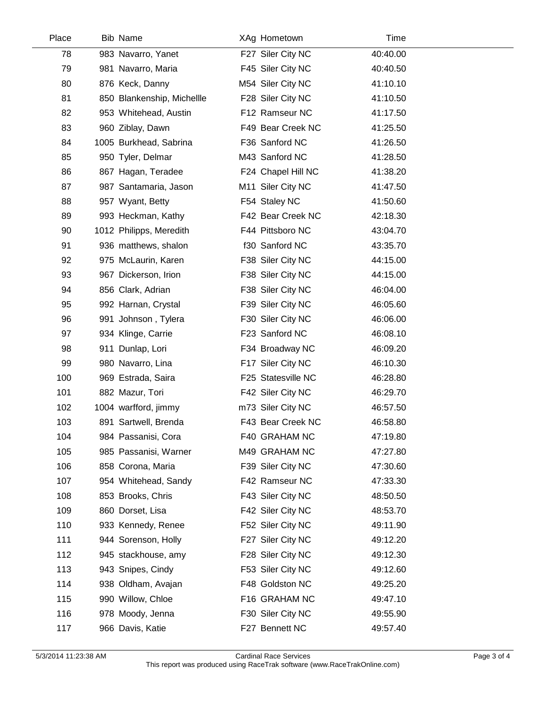| Place | <b>Bib Name</b>            | XAg Hometown       | Time     |  |
|-------|----------------------------|--------------------|----------|--|
| 78    | 983 Navarro, Yanet         | F27 Siler City NC  | 40:40.00 |  |
| 79    | 981 Navarro, Maria         | F45 Siler City NC  | 40:40.50 |  |
| 80    | 876 Keck, Danny            | M54 Siler City NC  | 41:10.10 |  |
| 81    | 850 Blankenship, Michellle | F28 Siler City NC  | 41:10.50 |  |
| 82    | 953 Whitehead, Austin      | F12 Ramseur NC     | 41:17.50 |  |
| 83    | 960 Ziblay, Dawn           | F49 Bear Creek NC  | 41:25.50 |  |
| 84    | 1005 Burkhead, Sabrina     | F36 Sanford NC     | 41:26.50 |  |
| 85    | 950 Tyler, Delmar          | M43 Sanford NC     | 41:28.50 |  |
| 86    | 867 Hagan, Teradee         | F24 Chapel Hill NC | 41:38.20 |  |
| 87    | 987 Santamaria, Jason      | M11 Siler City NC  | 41:47.50 |  |
| 88    | 957 Wyant, Betty           | F54 Staley NC      | 41:50.60 |  |
| 89    | 993 Heckman, Kathy         | F42 Bear Creek NC  | 42:18.30 |  |
| 90    | 1012 Philipps, Meredith    | F44 Pittsboro NC   | 43:04.70 |  |
| 91    | 936 matthews, shalon       | f30 Sanford NC     | 43:35.70 |  |
| 92    | 975 McLaurin, Karen        | F38 Siler City NC  | 44:15.00 |  |
| 93    | 967 Dickerson, Irion       | F38 Siler City NC  | 44:15.00 |  |
| 94    | 856 Clark, Adrian          | F38 Siler City NC  | 46:04.00 |  |
| 95    | 992 Harnan, Crystal        | F39 Siler City NC  | 46:05.60 |  |
| 96    | 991 Johnson, Tylera        | F30 Siler City NC  | 46:06.00 |  |
| 97    | 934 Klinge, Carrie         | F23 Sanford NC     | 46:08.10 |  |
| 98    | 911 Dunlap, Lori           | F34 Broadway NC    | 46:09.20 |  |
| 99    | 980 Navarro, Lina          | F17 Siler City NC  | 46:10.30 |  |
| 100   | 969 Estrada, Saira         | F25 Statesville NC | 46:28.80 |  |
| 101   | 882 Mazur, Tori            | F42 Siler City NC  | 46:29.70 |  |
| 102   | 1004 warfford, jimmy       | m73 Siler City NC  | 46:57.50 |  |
| 103   | 891 Sartwell, Brenda       | F43 Bear Creek NC  | 46:58.80 |  |
| 104   | 984 Passanisi, Cora        | F40 GRAHAM NC      | 47:19.80 |  |
| 105   | 985 Passanisi, Warner      | M49 GRAHAM NC      | 47:27.80 |  |
| 106   | 858 Corona, Maria          | F39 Siler City NC  | 47:30.60 |  |
| 107   | 954 Whitehead, Sandy       | F42 Ramseur NC     | 47:33.30 |  |
| 108   | 853 Brooks, Chris          | F43 Siler City NC  | 48:50.50 |  |
| 109   | 860 Dorset, Lisa           | F42 Siler City NC  | 48:53.70 |  |
| 110   | 933 Kennedy, Renee         | F52 Siler City NC  | 49:11.90 |  |
| 111   | 944 Sorenson, Holly        | F27 Siler City NC  | 49:12.20 |  |
| 112   | 945 stackhouse, amy        | F28 Siler City NC  | 49:12.30 |  |
| 113   | 943 Snipes, Cindy          | F53 Siler City NC  | 49:12.60 |  |
| 114   | 938 Oldham, Avajan         | F48 Goldston NC    | 49:25.20 |  |
| 115   | 990 Willow, Chloe          | F16 GRAHAM NC      | 49:47.10 |  |
| 116   | 978 Moody, Jenna           | F30 Siler City NC  | 49:55.90 |  |
| 117   | 966 Davis, Katie           | F27 Bennett NC     | 49:57.40 |  |
|       |                            |                    |          |  |

 $\overline{\phantom{a}}$